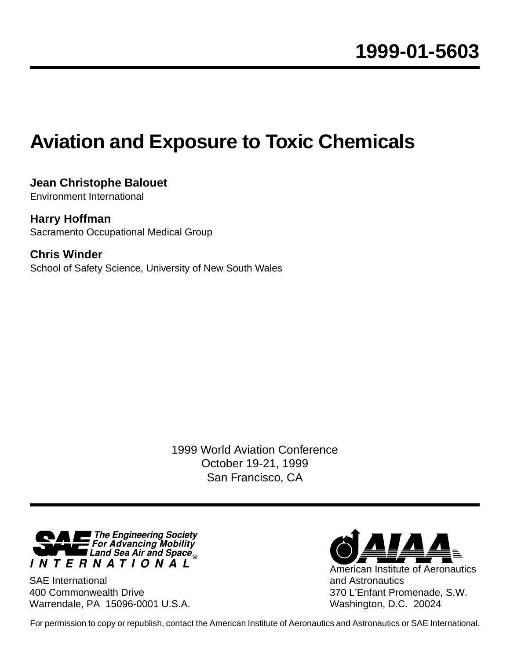# **Aviation and Exposure to Toxic Chemicals**

**Jean Christophe Balouet**  Environment International

**Harry Hoffman** Sacramento Occupational Medical Group

**Chris Winder** School of Safety Science, University of New South Wales

> 1999 World Aviation Conference October 19-21, 1999 San Francisco, CA



SAE International 400 Commonwealth Drive Warrendale, PA 15096-0001 U.S.A.



Washington, D.C. 20024

For permission to copy or republish, contact the American Institute of Aeronautics and Astronautics or SAE International.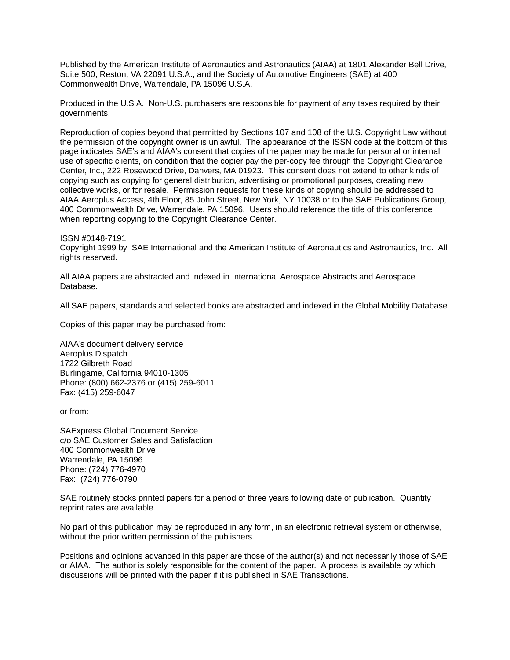Published by the American Institute of Aeronautics and Astronautics (AIAA) at 1801 Alexander Bell Drive, Suite 500, Reston, VA 22091 U.S.A., and the Society of Automotive Engineers (SAE) at 400 Commonwealth Drive, Warrendale, PA 15096 U.S.A.

Produced in the U.S.A. Non-U.S. purchasers are responsible for payment of any taxes required by their governments.

Reproduction of copies beyond that permitted by Sections 107 and 108 of the U.S. Copyright Law without the permission of the copyright owner is unlawful. The appearance of the ISSN code at the bottom of this page indicates SAE's and AIAA's consent that copies of the paper may be made for personal or internal use of specific clients, on condition that the copier pay the per-copy fee through the Copyright Clearance Center, Inc., 222 Rosewood Drive, Danvers, MA 01923. This consent does not extend to other kinds of copying such as copying for general distribution, advertising or promotional purposes, creating new collective works, or for resale. Permission requests for these kinds of copying should be addressed to AIAA Aeroplus Access, 4th Floor, 85 John Street, New York, NY 10038 or to the SAE Publications Group, 400 Commonwealth Drive, Warrendale, PA 15096. Users should reference the title of this conference when reporting copying to the Copyright Clearance Center.

ISSN #0148-7191 Copyright 1999 by SAE International and the American Institute of Aeronautics and Astronautics, Inc. All rights reserved.

All AIAA papers are abstracted and indexed in International Aerospace Abstracts and Aerospace Database.

All SAE papers, standards and selected books are abstracted and indexed in the Global Mobility Database.

Copies of this paper may be purchased from:

AIAA's document delivery service Aeroplus Dispatch 1722 Gilbreth Road Burlingame, California 94010-1305 Phone: (800) 662-2376 or (415) 259-6011 Fax: (415) 259-6047

or from:

SAExpress Global Document Service c/o SAE Customer Sales and Satisfaction 400 Commonwealth Drive Warrendale, PA 15096 Phone: (724) 776-4970 Fax: (724) 776-0790

SAE routinely stocks printed papers for a period of three years following date of publication. Quantity reprint rates are available.

No part of this publication may be reproduced in any form, in an electronic retrieval system or otherwise, without the prior written permission of the publishers.

Positions and opinions advanced in this paper are those of the author(s) and not necessarily those of SAE or AIAA. The author is solely responsible for the content of the paper. A process is available by which discussions will be printed with the paper if it is published in SAE Transactions.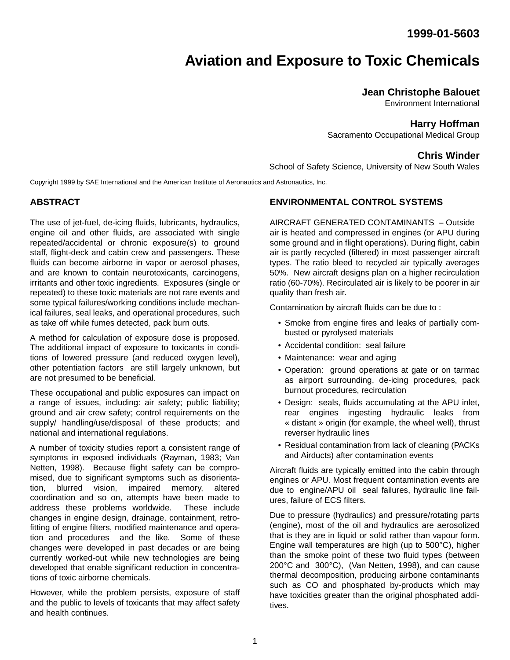# **Aviation and Exposure to Toxic Chemicals**

# **Jean Christophe Balouet**

Environment International

### **Harry Hoffman**

Sacramento Occupational Medical Group

### **Chris Winder**

School of Safety Science, University of New South Wales

Copyright 1999 by SAE International and the American Institute of Aeronautics and Astronautics, Inc.

#### **ABSTRACT**

The use of jet-fuel, de-icing fluids, lubricants, hydraulics, engine oil and other fluids, are associated with single repeated/accidental or chronic exposure(s) to ground staff, flight-deck and cabin crew and passengers. These fluids can become airborne in vapor or aerosol phases, and are known to contain neurotoxicants, carcinogens, irritants and other toxic ingredients. Exposures (single or repeated) to these toxic materials are not rare events and some typical failures/working conditions include mechanical failures, seal leaks, and operational procedures, such as take off while fumes detected, pack burn outs.

A method for calculation of exposure dose is proposed. The additional impact of exposure to toxicants in conditions of lowered pressure (and reduced oxygen level), other potentiation factors are still largely unknown, but are not presumed to be beneficial.

These occupational and public exposures can impact on a range of issues, including: air safety; public liability; ground and air crew safety; control requirements on the supply/ handling/use/disposal of these products; and national and international regulations.

A number of toxicity studies report a consistent range of symptoms in exposed individuals (Rayman, 1983; Van Netten, 1998). Because flight safety can be compromised, due to significant symptoms such as disorientation, blurred vision, impaired memory, altered coordination and so on, attempts have been made to address these problems worldwide. These include changes in engine design, drainage, containment, retrofitting of engine filters, modified maintenance and operation and procedures and the like. Some of these changes were developed in past decades or are being currently worked-out while new technologies are being developed that enable significant reduction in concentrations of toxic airborne chemicals.

However, while the problem persists, exposure of staff and the public to levels of toxicants that may affect safety and health continues.

#### **ENVIRONMENTAL CONTROL SYSTEMS**

AIRCRAFT GENERATED CONTAMINANTS – Outside air is heated and compressed in engines (or APU during some ground and in flight operations). During flight, cabin air is partly recycled (filtered) in most passenger aircraft types. The ratio bleed to recycled air typically averages 50%. New aircraft designs plan on a higher recirculation ratio (60-70%). Recirculated air is likely to be poorer in air quality than fresh air.

Contamination by aircraft fluids can be due to :

- Smoke from engine fires and leaks of partially combusted or pyrolysed materials
- Accidental condition: seal failure
- Maintenance: wear and aging
- Operation: ground operations at gate or on tarmac as airport surrounding, de-icing procedures, pack burnout procedures, recirculation
- Design: seals, fluids accumulating at the APU inlet, rear engines ingesting hydraulic leaks from « distant » origin (for example, the wheel well), thrust reverser hydraulic lines
- Residual contamination from lack of cleaning (PACKs and Airducts) after contamination events

Aircraft fluids are typically emitted into the cabin through engines or APU. Most frequent contamination events are due to engine/APU oil seal failures, hydraulic line failures, failure of ECS filters.

Due to pressure (hydraulics) and pressure/rotating parts (engine), most of the oil and hydraulics are aerosolized that is they are in liquid or solid rather than vapour form. Engine wall temperatures are high (up to 500°C), higher than the smoke point of these two fluid types (between 200°C and 300°C), (Van Netten, 1998), and can cause thermal decomposition, producing airbone contaminants such as CO and phosphated by-products which may have toxicities greater than the original phosphated additives.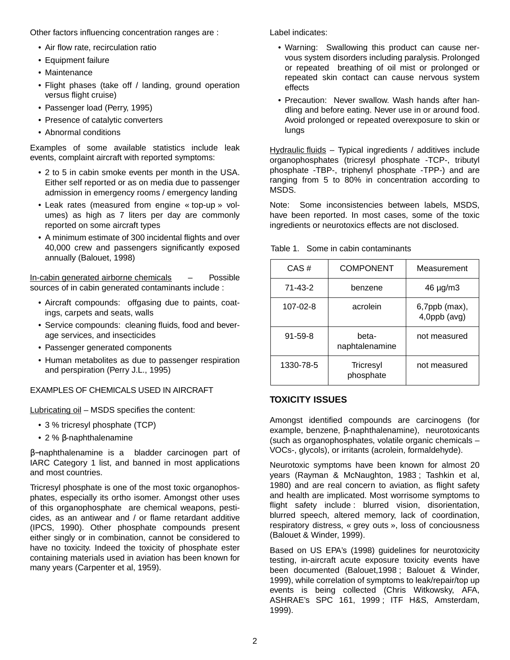Other factors influencing concentration ranges are :

- Air flow rate, recirculation ratio
- Equipment failure
- Maintenance
- Flight phases (take off / landing, ground operation versus flight cruise)
- Passenger load (Perry, 1995)
- Presence of catalytic converters
- Abnormal conditions

Examples of some available statistics include leak events, complaint aircraft with reported symptoms:

- 2 to 5 in cabin smoke events per month in the USA. Either self reported or as on media due to passenger admission in emergency rooms / emergency landing
- Leak rates (measured from engine « top-up » volumes) as high as 7 liters per day are commonly reported on some aircraft types
- A minimum estimate of 300 incidental flights and over 40,000 crew and passengers significantly exposed annually (Balouet, 1998)

In-cabin generated airborne chemicals – Possible sources of in cabin generated contaminants include :

- Aircraft compounds: offgasing due to paints, coatings, carpets and seats, walls
- Service compounds: cleaning fluids, food and beverage services, and insecticides
- Passenger generated components
- Human metabolites as due to passenger respiration and perspiration (Perry J.L., 1995)

#### EXAMPLES OF CHEMICALS USED IN AIRCRAFT

Lubricating oil – MSDS specifies the content:

- 3 % tricresyl phosphate (TCP)
- 2 % β-naphthalenamine

β−naphthalenamine is a bladder carcinogen part of IARC Category 1 list, and banned in most applications and most countries.

Tricresyl phosphate is one of the most toxic organophosphates, especially its ortho isomer. Amongst other uses of this organophosphate are chemical weapons, pesticides, as an antiwear and / or flame retardant additive (IPCS, 1990). Other phosphate compounds present either singly or in combination, cannot be considered to have no toxicity. Indeed the toxicity of phosphate ester containing materials used in aviation has been known for many years (Carpenter et al, 1959).

Label indicates:

- Warning: Swallowing this product can cause nervous system disorders including paralysis. Prolonged or repeated breathing of oil mist or prolonged or repeated skin contact can cause nervous system effects
- Precaution: Never swallow. Wash hands after handling and before eating. Never use in or around food. Avoid prolonged or repeated overexposure to skin or lungs

Hydraulic fluids - Typical ingredients / additives include organophosphates (tricresyl phosphate -TCP-, tributyl phosphate -TBP-, triphenyl phosphate -TPP-) and are ranging from 5 to 80% in concentration according to MSDS.

Note: Some inconsistencies between labels, MSDS, have been reported. In most cases, some of the toxic ingredients or neurotoxics effects are not disclosed.

| CAS#           | <b>COMPONENT</b>        | Measurement                   |
|----------------|-------------------------|-------------------------------|
| 71-43-2        | benzene                 | $46 \mu g/m3$                 |
| $107 - 02 - 8$ | acrolein                | 6,7ppb (max),<br>4,0ppb (avg) |
| $91 - 59 - 8$  | beta-<br>naphtalenamine | not measured                  |
| 1330-78-5      | Tricresyl<br>phosphate  | not measured                  |

Table 1. Some in cabin contaminants

#### **TOXICITY ISSUES**

Amongst identified compounds are carcinogens (for example, benzene, β-naphthalenamine), neurotoxicants (such as organophosphates, volatile organic chemicals – VOCs-, glycols), or irritants (acrolein, formaldehyde).

Neurotoxic symptoms have been known for almost 20 years (Rayman & McNaughton, 1983 ; Tashkin et al, 1980) and are real concern to aviation, as flight safety and health are implicated. Most worrisome symptoms to flight safety include : blurred vision, disorientation, blurred speech, altered memory, lack of coordination, respiratory distress, « grey outs », loss of conciousness (Balouet & Winder, 1999).

Based on US EPA's (1998) guidelines for neurotoxicity testing, in-aircraft acute exposure toxicity events have been documented (Balouet,1998 ; Balouet & Winder, 1999), while correlation of symptoms to leak/repair/top up events is being collected (Chris Witkowsky, AFA, ASHRAE's SPC 161, 1999 ; ITF H&S, Amsterdam, 1999).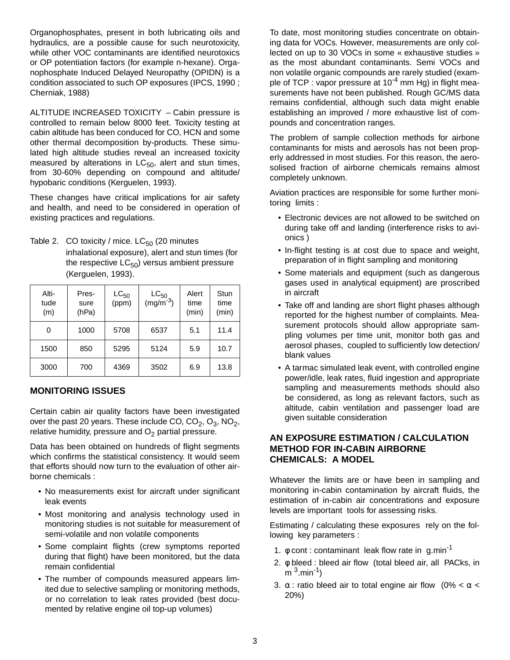Organophosphates, present in both lubricating oils and hydraulics, are a possible cause for such neurotoxicity, while other VOC contaminants are identified neurotoxics or OP potentiation factors (for example n-hexane). Organophosphate Induced Delayed Neuropathy (OPIDN) is a condition associated to such OP exposures (IPCS, 1990 ; Cherniak, 1988)

ALTITUDE INCREASED TOXICITY – Cabin pressure is controlled to remain below 8000 feet. Toxicity testing at cabin altitude has been conduced for CO, HCN and some other thermal decomposition by-products. These simulated high altitude studies reveal an increased toxicity measured by alterations in  $LC_{50}$ , alert and stun times, from 30-60% depending on compound and altitude/ hypobaric conditions (Kerguelen, 1993).

These changes have critical implications for air safety and health, and need to be considered in operation of existing practices and regulations.

Table 2. CO toxicity / mice.  $LC_{50}$  (20 minutes inhalational exposure), alert and stun times (for the respective  $LC_{50}$ ) versus ambient pressure (Kerguelen, 1993).

| Alti-<br>tude<br>(m) | Pres-<br>sure<br>(hPa) | $LC_{50}$<br>(ppm) | $LC_{50}$<br>(mg/m <sup>-3</sup> ) | Alert<br>time<br>(min) | Stun<br>time<br>(min) |
|----------------------|------------------------|--------------------|------------------------------------|------------------------|-----------------------|
| 0                    | 1000                   | 5708               | 6537                               | 5.1                    | 11.4                  |
| 1500                 | 850                    | 5295               | 5124                               | 5.9                    | 10.7                  |
| 3000                 | 700                    | 4369               | 3502                               | 6.9                    | 13.8                  |

## **MONITORING ISSUES**

Certain cabin air quality factors have been investigated over the past 20 years. These include CO,  $CO_2$ ,  $O_3$ ,  $NO_2$ , relative humidity, pressure and  $O<sub>2</sub>$  partial pressure.

Data has been obtained on hundreds of flight segments which confirms the statistical consistency. It would seem that efforts should now turn to the evaluation of other airborne chemicals :

- No measurements exist for aircraft under significant leak events
- Most monitoring and analysis technology used in monitoring studies is not suitable for measurement of semi-volatile and non volatile components
- Some complaint flights (crew symptoms reported during that flight) have been monitored, but the data remain confidential
- The number of compounds measured appears limited due to selective sampling or monitoring methods, or no correlation to leak rates provided (best documented by relative engine oil top-up volumes)

To date, most monitoring studies concentrate on obtaining data for VOCs. However, measurements are only collected on up to 30 VOCs in some « exhaustive studies » as the most abundant contaminants. Semi VOCs and non volatile organic compounds are rarely studied (example of TCP : vapor pressure at  $10^{-4}$  mm Hg) in flight measurements have not been published. Rough GC/MS data remains confidential, although such data might enable establishing an improved / more exhaustive list of compounds and concentration ranges.

The problem of sample collection methods for airbone contaminants for mists and aerosols has not been properly addressed in most studies. For this reason, the aerosolised fraction of airborne chemicals remains almost completely unknown.

Aviation practices are responsible for some further monitoring limits :

- Electronic devices are not allowed to be switched on during take off and landing (interference risks to avionics )
- In-flight testing is at cost due to space and weight, preparation of in flight sampling and monitoring
- Some materials and equipment (such as dangerous gases used in analytical equipment) are proscribed in aircraft
- Take off and landing are short flight phases although reported for the highest number of complaints. Measurement protocols should allow appropriate sampling volumes per time unit, monitor both gas and aerosol phases, coupled to sufficiently low detection/ blank values
- A tarmac simulated leak event, with controlled engine power/idle, leak rates, fluid ingestion and appropriate sampling and measurements methods should also be considered, as long as relevant factors, such as altitude, cabin ventilation and passenger load are given suitable consideration

### **AN EXPOSURE ESTIMATION / CALCULATION METHOD FOR IN-CABIN AIRBORNE CHEMICALS: A MODEL**

Whatever the limits are or have been in sampling and monitoring in-cabin contamination by aircraft fluids, the estimation of in-cabin air concentrations and exposure levels are important tools for assessing risks.

Estimating / calculating these exposures rely on the following key parameters :

- 1.  $\phi$  cont : contaminant leak flow rate in g.min<sup>-1</sup>
- 2. φ bleed : bleed air flow (total bleed air, all PACks, in  $m<sup>3</sup>$ .min<sup>-1</sup>)
- 3.  $\alpha$ : ratio bleed air to total engine air flow (0% <  $\alpha$  < 20%)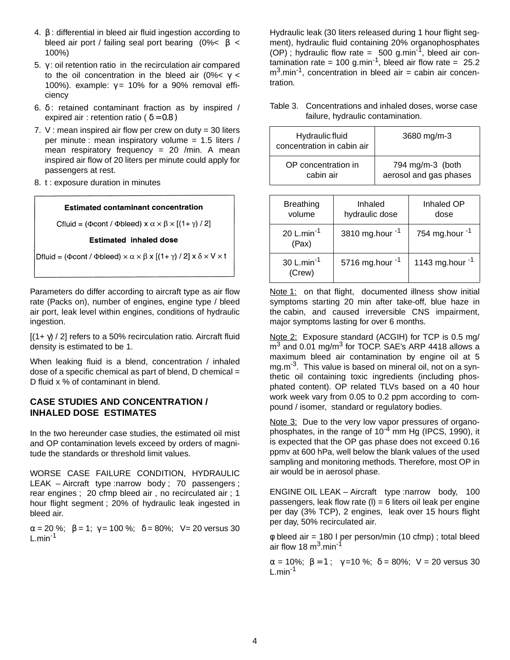- 4. β : differential in bleed air fluid ingestion according to bleed air port / failing seal port bearing  $(0\% < \beta <$ 100%)
- 5. γ : oil retention ratio in the recirculation air compared to the oil concentration in the bleed air (0%  $\times$   $\times$ 100%). example:  $\gamma$  = 10% for a 90% removal efficiency
- 6. δ : retained contaminant fraction as by inspired / expired air : retention ratio (  $\delta = 0.8$  )
- 7. V : mean inspired air flow per crew on duty =  $30$  liters per minute : mean inspiratory volume = 1.5 liters / mean respiratory frequency  $= 20$  /min. A mean inspired air flow of 20 liters per minute could apply for passengers at rest.
- 8. t : exposure duration in minutes

#### **Estimated contaminant concentration**

Cfluid = ( $\Phi$ cont /  $\Phi$ bleed) x  $\alpha \times \beta \times [(1 + \gamma)/2]$ 

**Estimated inhaled dose** 

Dfluid = ( $\Phi$ cont /  $\Phi$ bleed)  $\times \alpha \times \beta$  x [(1+ $\gamma$ ) / 2] x  $\delta \times V \times t$ 

Parameters do differ according to aircraft type as air flow rate (Packs on), number of engines, engine type / bleed air port, leak level within engines, conditions of hydraulic ingestion.

 $[(1+\gamma)/2]$  refers to a 50% recirculation ratio. Aircraft fluid density is estimated to be 1.

When leaking fluid is a blend, concentration / inhaled dose of a specific chemical as part of blend,  $D$  chemical = D fluid x % of contaminant in blend.

#### **CASE STUDIES AND CONCENTRATION / INHALED DOSE ESTIMATES**

In the two hereunder case studies, the estimated oil mist and OP contamination levels exceed by orders of magnitude the standards or threshold limit values.

WORSE CASE FAILURE CONDITION, HYDRAULIC LEAK – Aircraft type :narrow body; 70 passengers; rear engines ; 20 cfmp bleed air , no recirculated air ; 1 hour flight segment ; 20% of hydraulic leak ingested in bleed air.

 $\alpha = 20 \%$ ;  $\beta = 1$ ;  $\gamma = 100 \%$ ;  $\delta = 80\%$ ; V= 20 versus 30  $L.min<sup>-1</sup>$ 

Hydraulic leak (30 liters released during 1 hour flight segment), hydraulic fluid containing 20% organophosphates (OP); hydraulic flow rate =  $500$  g.min<sup>-1</sup>, bleed air contamination rate = 100 g.min<sup>-1</sup>, bleed air flow rate = 25.2  $m<sup>3</sup>$ .min<sup>-1</sup>, concentration in bleed air = cabin air concentration.

| Hydraulic fluid<br>concentration in cabin air | 3680 mg/m-3            |
|-----------------------------------------------|------------------------|
| OP concentration in                           | 794 mg/m-3 (both       |
| cabin air                                     | aerosol and gas phases |

Table 3. Concentrations and inhaled doses, worse case failure, hydraulic contamination.

| <b>Breathing</b><br>volume       | Inhaled<br>hydraulic dose | Inhaled OP<br>dose   |
|----------------------------------|---------------------------|----------------------|
| 20 L.min <sup>-1</sup><br>(Pax)  | 3810 mg.hour -1           | 754 mg.hour $-1$     |
| 30 L.min <sup>-1</sup><br>(Crew) | 5716 mg.hour $^{-1}$      | 1143 mg.hour $^{-1}$ |

Note 1: on that flight, documented illness show initial symptoms starting 20 min after take-off, blue haze in the cabin, and caused irreversible CNS impairment, major symptoms lasting for over 6 months.

Note 2: Exposure standard (ACGIH) for TCP is 0.5 mg/  $m<sup>3</sup>$  and 0.01 mg/m<sup>3</sup> for TOCP. SAE's ARP 4418 allows a maximum bleed air contamination by engine oil at 5 mg.m<sup>-3</sup>. This value is based on mineral oil, not on a synthetic oil containing toxic ingredients (including phosphated content). OP related TLVs based on a 40 hour work week vary from 0.05 to 0.2 ppm according to compound / isomer, standard or regulatory bodies.

Note 3: Due to the very low vapor pressures of organophosphates, in the range of  $10^{-4}$  mm Hg (IPCS, 1990), it is expected that the OP gas phase does not exceed 0.16 ppmv at 600 hPa, well below the blank values of the used sampling and monitoring methods. Therefore, most OP in air would be in aerosol phase.

ENGINE OIL LEAK – Aircraft type :narrow body, 100 passengers, leak flow rate  $(I) = 6$  liters oil leak per engine per day (3% TCP), 2 engines, leak over 15 hours flight per day, 50% recirculated air.

φ bleed air = 180 l per person/min (10 cfmp) ; total bleed air flow 18 $\mathrm{m}^3$ .min<sup>-1</sup>

 $\alpha = 10\%; \ \beta = 1; \ \gamma = 10\%; \ \delta = 80\%; \ \nu = 20 \text{ versus } 30$  $L.min^{-1}$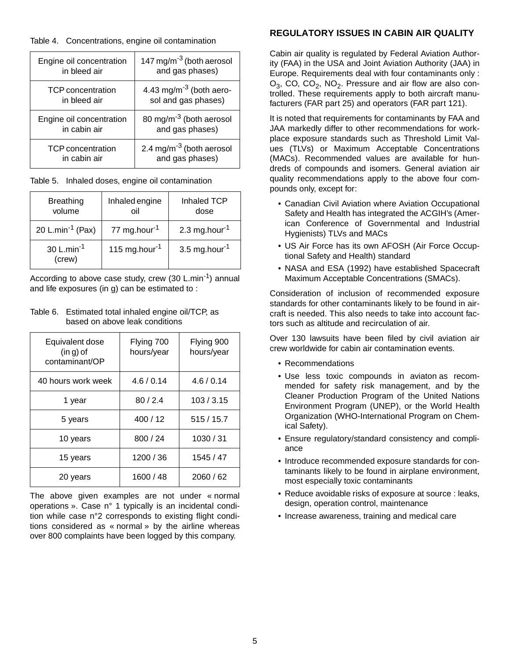#### Table 4. Concentrations, engine oil contamination

| Engine oil concentration | 147 mg/m <sup>-3</sup> (both aerosol |
|--------------------------|--------------------------------------|
| in bleed air             | and gas phases)                      |
| <b>TCP</b> concentration | 4.43 mg/m <sup>-3</sup> (both aero-  |
| in bleed air             | sol and gas phases)                  |
| Engine oil concentration | 80 mg/m <sup>-3</sup> (both aerosol  |
| in cabin air             | and gas phases)                      |
| <b>TCP</b> concentration | 2.4 mg/m <sup>-3</sup> (both aerosol |
| in cabin air             | and gas phases)                      |

Table 5. Inhaled doses, engine oil contamination

| <b>Breathing</b><br>volume       | Inhaled engine<br>oil     | Inhaled TCP<br>dose       |
|----------------------------------|---------------------------|---------------------------|
| 20 L.min <sup>-1</sup> (Pax)     | 77 mg.hour <sup>-1</sup>  | 2.3 mg.hour <sup>-1</sup> |
| 30 L.min <sup>-1</sup><br>(crew) | 115 mg.hour <sup>-1</sup> | 3.5 mg.hour $^{-1}$       |

According to above case study, crew  $(30 \text{ L.min}^{-1})$  annual and life exposures (in g) can be estimated to :

#### Table 6. Estimated total inhaled engine oil/TCP, as based on above leak conditions

| Equivalent dose<br>$(in g)$ of<br>contaminant/OP | Flying 700<br>hours/year | Flying 900<br>hours/year |
|--------------------------------------------------|--------------------------|--------------------------|
| 40 hours work week                               | 4.6/0.14                 | 4.6/0.14                 |
| 1 year                                           | 80/2.4                   | 103 / 3.15               |
| 5 years                                          | 400 / 12                 | 515/15.7                 |
| 10 years                                         | 800/24                   | 1030 / 31                |
| 15 years                                         | 1200 / 36                | 1545 / 47                |
| 20 years                                         | 1600 / 48                | 2060 / 62                |

The above given examples are not under « normal operations ». Case n° 1 typically is an incidental condition while case n°2 corresponds to existing flight conditions considered as « normal » by the airline whereas over 800 complaints have been logged by this company.

# **REGULATORY ISSUES IN CABIN AIR QUALITY**

Cabin air quality is regulated by Federal Aviation Authority (FAA) in the USA and Joint Aviation Authority (JAA) in Europe. Requirements deal with four contaminants only :  $O_3$ , CO, CO<sub>2</sub>, NO<sub>2</sub>. Pressure and air flow are also controlled. These requirements apply to both aircraft manufacturers (FAR part 25) and operators (FAR part 121).

It is noted that requirements for contaminants by FAA and JAA markedly differ to other recommendations for workplace exposure standards such as Threshold Limit Values (TLVs) or Maximum Acceptable Concentrations (MACs). Recommended values are available for hundreds of compounds and isomers. General aviation air quality recommendations apply to the above four compounds only, except for:

- Canadian Civil Aviation where Aviation Occupational Safety and Health has integrated the ACGIH's (American Conference of Governmental and Industrial Hygienists) TLVs and MACs
- US Air Force has its own AFOSH (Air Force Occuptional Safety and Health) standard
- NASA and ESA (1992) have established Spacecraft Maximum Acceptable Concentrations (SMACs).

Consideration of inclusion of recommended exposure standards for other contaminants likely to be found in aircraft is needed. This also needs to take into account factors such as altitude and recirculation of air.

Over 130 lawsuits have been filed by civil aviation air crew worldwide for cabin air contamination events.

- Recommendations
- Use less toxic compounds in aviaton as recommended for safety risk management, and by the Cleaner Production Program of the United Nations Environment Program (UNEP), or the World Health Organization (WHO-International Program on Chemical Safety).
- Ensure regulatory/standard consistency and compliance
- Introduce recommended exposure standards for contaminants likely to be found in airplane environment, most especially toxic contaminants
- Reduce avoidable risks of exposure at source : leaks, design, operation control, maintenance
- Increase awareness, training and medical care